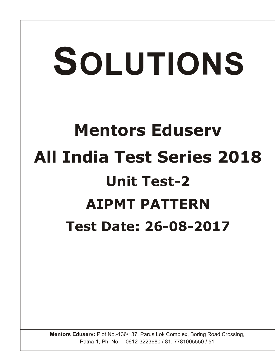# SOLUTIONS

# **Mentors Eduserv All India Test Series 2018 Unit Test-2 AIPMT PATTERN Test Date: 26-08-2017**

**Mentors Eduserv:** Plot No.-136/137, Parus Lok Complex, Boring Road Crossing, Patna-1, Ph. No. : 0612-3223680 / 81, 7781005550 / 51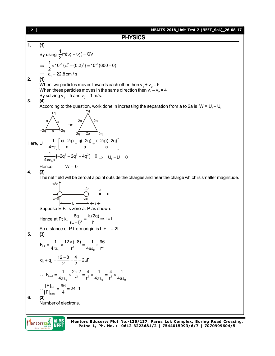**PHYSICS**  
\n1. (1)  
\nBy using 
$$
\frac{1}{2}mv(v_1^2 - v_2^2) = QV
$$
  
\n $\Rightarrow \frac{1}{2} \times 10^{-5} (v_1^2 - (0.2)^2) = 10^{-4} (600 - 0)$   
\n2. (1)  
\n2. (22.8 cm/s  
\nWhen these particles moves towards each other then  $v_1 + v_2 = 6$   
\nWhen these particles moves in the same direction then  $v_1 - v_2 = 4$   
\nBy solving  $v_1 = 5$  and  $v_2 = 1$  ms.  
\n3. (4)  
\nAccording to the question, work done in increasing the separation from a to 2a is  $W = U_1 - U_1$   
\n4. According to the question, work done in increasing the separation from a to 2a is  $W = U_1 - U_1$   
\n4. (a)  
\n $\Rightarrow \int_{-2\sqrt{1-\frac{1}{a}}/2}^{4\sqrt{2-\frac{1}{a}}/2} = \int_{-2\sqrt{1-\frac{2a}{a}}/2}^{2\sqrt{2-\frac{2a}{a}}/2} = \frac{2a}{a} \int_{-2\sqrt{1-\frac{2a}{a}}/2}^{2\sqrt{2-\frac{2a}{a}}/2} = \int_{-1}^{2\sqrt{2-\frac{2a}{a}}/2} = \int_{-1}^{2\sqrt{2-\frac{2a}{a}}/2} = \int_{-1}^{2\sqrt{2-\frac{2a}{a}}/2} = \int_{-1}^{2\sqrt{2-\frac{2a}{a}}/2} = \int_{\frac{\sqrt{2-\frac{a}{a}}}{\sqrt{2-\frac{a}{a}}}}^{2\sqrt{2-\frac{a}{a}}/2} = \int_{\frac{\sqrt{2-\frac{a}{a}}}{\sqrt{2-\frac{a}{a}}}}^{2\sqrt{2-\frac{a}{a}}/2} = \int_{\frac{\sqrt{2-\frac{a}{a}}}{\sqrt{2-\frac{a}{a}}}}^{2\sqrt{2-\frac{a}{a}}/2} = \frac{k(2Q)}{2} \Rightarrow 1 = L$   
\n5. 63  
\n5. 64  
\nHence, 10.4;  $\frac{1}{(1 + \frac{Q}{2})} = \frac{1}{(1 + \frac{Q}{2})} = \frac{k(2Q)}{2} \Rightarrow 1 = L$   
\n5. 6

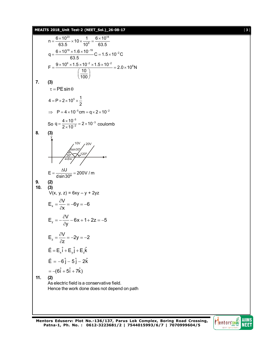**MEAITS 2018\_Unit Test-2 (NEET\_Sol.)\_26-08-17** [ **3** ]

n = 
$$
\frac{6 \times 10^{23}}{63.5} \times 10 \times \frac{1}{10^6} = \frac{6 \times 10^{18}}{63.5}
$$
  
\nq =  $\frac{6 \times 10^{18} \times 1.6 \times 10^{-19}}{63.5} = 1.5 \times 10^{-2} \text{C}$   
\nF =  $\frac{9 \times 10^9 \times 1.5 \times 10^{-2} \times 1.5 \times 10^{-2}}{\frac{100}{100}} = 2.0 \times 10^8 \text{N}$   
\n7. (3)  
\n $\tau = PE \sin \theta$   
\n4 = P × 2 × 10<sup>5</sup> ×  $\frac{1}{2}$   
\n $\Rightarrow P = 4 \times 10^{-5} \text{cm} = q \times 2 \times 10^{-2}$   
\nSo q =  $\frac{4 \times 10^{-5}}{2 \times 10^{-2}} = 2 \times 10^{-3}$  coulomb  
\n8. (3)  
\n $\frac{10V}{200}$   
\n $\frac{20V}{200}$   
\n10. (3)  
\n $V(x, y, z) = 6xy - y + 2yz$   
\n $E_x = \frac{\partial V}{\partial x} = -6y = -6$   
\n $E_y = -\frac{\partial V}{\partial y} - 6x + 1 + 2z = -5$   
\n $E_z = \frac{\partial V}{\partial z} = -2y = -2$   
\n $\vec{E} = -6\hat{j} - 5\hat{j} - 2\hat{k}$   
\n=  $-(6\hat{i} + 5\hat{i} + 7\hat{k})$   
\n11. (2)  
\nAs electric field is a conservative field.  
\nHence the work done does not depend on path

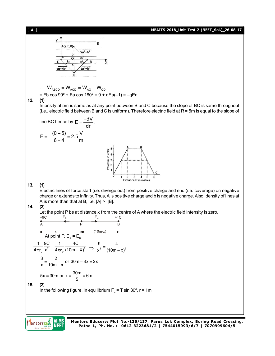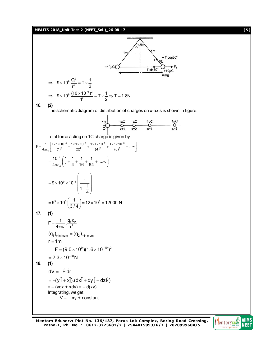**MEAITS 2018\_Unit Test-2 (NEET\_Sol.)\_26-08-17** [ **5** ]

![](_page_4_Figure_1.jpeg)

![](_page_4_Picture_3.jpeg)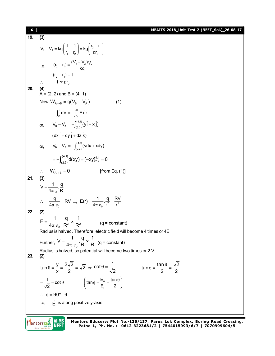[ **6** ] **MEAITS 2018\_Unit Test-2 (NEET\_Sol.)\_26-08-17 19. (3)**  $V_1 - V_2 = kq \left( \frac{1}{r_1} - \frac{1}{r_2} \right) = kq \left( \frac{2r_1}{r_1r_2} \right)$  $V_1 - V_2 = kq \left( \frac{1}{r_1} - \frac{1}{r_2} \right) = kq \left( \frac{r_2 - r_1}{r_1 r_2} \right)$  $-V_2 = kq \left(\frac{1}{r_1} - \frac{1}{r_2}\right) = kq \left(\frac{r_2 - r_1}{r_1 r_2}\right)$ i.e.  $(r_2 - r_1) = \frac{(V_1 - V_2)r_1r_2}{kq}$  $-r_1$ ) =  $\frac{(V_1 (r_2 - r_1) = t$  $\therefore$  t  $\propto$  r<sub>1</sub>r<sub>2</sub> **20. (4)**  $A = (2, 2)$  and B =  $(4, 1)$ Now  $W_{A\rightarrow B} = q(V_B - V_A)$  ......(1)  $\int_{0}^{B} dV = -\int_{0}^{B}$  $\int_{A}^{B} dV = - \int_{A}^{B} \vec{E} \cdot d\vec{r}$ or,  $V_B - V_A = -\int_{(2,3)}^{(4.1)} v$  $V_{\rm B} - V_{\rm A} = -\int_{(2.2)}^{(4.1)} (y \hat{i} + x \hat{j}).$  $(dx \hat{i} + dy \hat{j} + dz \hat{k})$ or,  $V_B - V_A = -\int_{(2,3)}^{(4,1)} v$  $V_{B} - V_{A} = -\int_{(2,2)}^{(1,3)} (ydx + xdy)$  $(4.1)$   $d(x) = 5$   $x_1$ <sup>4.1</sup>  $= -\int_{(2,2)}^{(1,2)} d(xy) = [-xy]_{2,2}^{4,1} = 0$  $W_{A\rightarrow B} = 0$  [from Eq. (1)] **21. (3)** 0  $V = \frac{1}{4\pi \varepsilon_0} \cdot \frac{q}{R}$ 0  $\therefore$   $\frac{q}{4\pi \varepsilon_0} = RV \Rightarrow E(r) = \frac{1}{4\pi \varepsilon_0} \cdot \frac{q}{r^2} = \frac{RV}{r^2}$  $E(r) = \frac{1}{4\pi \varepsilon_0} \cdot \frac{q}{r^2} = \frac{RV}{r^2}$ **22. (2)**  $R^2$   $R^2$  $E = \frac{1}{1}$ .  $\frac{q}{R^2} \propto \frac{1}{R^2}$  $4\pi \ \epsilon_{0}$  R<sup>2</sup> R  $=\frac{1}{\sqrt{2}}\cdot\frac{9}{\sqrt{2}}\infty$  $\overline{\pi \varepsilon_0} \cdot \overline{\mathsf{R}^2} \propto \overline{\mathsf{R}^2}$  (q = constant) Radius is halved. Therefore, electric field will become 4 times or 4E Further,  $v = \frac{1}{4\pi \varepsilon_0}$  $V = \frac{1}{1} \cdot \frac{q}{R} \propto \frac{1}{R}$  $4\pi$   $\varepsilon_{_{\text{0}}}$   $\,$   $\rm R$   $\,$   $\,$   $\rm R$  $=\frac{1}{4}$ .  $\frac{9}{5}$   $\infty$ .  $\overline{\pi \varepsilon_{0}} \cdot \overline{R}^{\alpha} \overline{R}$  (q = constant) Radius is halved, so potential will become two times or 2 V. **23. (2)**  $\tan \theta = \frac{y}{2} = \frac{2\sqrt{2}}{2} = \sqrt{2}$ x 2  $\theta = \frac{y}{x} = \frac{\Delta y \Delta}{2} = \sqrt{2}$  or  $\cot \theta = \frac{1}{\sqrt{2}}$  $\theta = \frac{1}{\sqrt{2}}$  tan  $\phi = \frac{\tan \theta}{2} = \frac{\sqrt{2}}{2}$ 2 2  $\phi = \frac{\tan \theta}{2} =$ r  $\frac{1}{\sqrt{2}}$  = cot  $\theta$   $\qquad$   $\qquad$   $\left(\tan \phi = \frac{E_{\theta}}{E_{r}} = \frac{\tan \theta}{2}\right)$  $=\frac{1}{\sqrt{2}} = \cot \theta$   $\left(\tan \phi = \frac{E_{\theta}}{E_{r}} = \frac{\tan \theta}{2}\right)$  $\therefore \phi = 90^{\circ} - \theta$ i.e,  $\vec{E}$  is along positive y-axis.

![](_page_5_Picture_1.jpeg)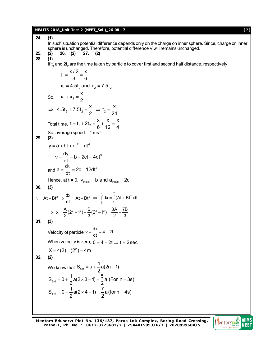# **MEAITS 2018\_Unit Test-2 (NEET\_Sol.)\_26-08-17** [ **7** ]

| 24. | (1)                                                                                                                                                                                         |
|-----|---------------------------------------------------------------------------------------------------------------------------------------------------------------------------------------------|
|     | In such situation potential difference depends only on the charge on inner sphere. Since, charge on inner<br>sphere is unchanged. Therefore, potential difference V will remains unchanged. |
| 25. | 27.<br>26.<br>(2)<br>(2)<br>(2)                                                                                                                                                             |
| 28. | (1)                                                                                                                                                                                         |
|     | If $t_1$ and $2t_2$ are the time taken by particle to cover first and second half distance, respectively                                                                                    |
|     | $t_1 = \frac{x/2}{3} = \frac{x}{6}$                                                                                                                                                         |
|     | $x_1 = 4.5t_2$ and $x_2 = 7.5t_2$                                                                                                                                                           |
|     | So, $X_1 + X_2 = \frac{X}{2}$                                                                                                                                                               |
|     | ⇒ 4.5t <sub>2</sub> + 7.5t <sub>2</sub> = $\frac{x}{2}$ ⇒ t <sub>2</sub> = $\frac{x}{24}$                                                                                                   |
|     | Total time, $t = t_1 + 2t_2 = \frac{x}{6} + \frac{x}{12} = \frac{x}{4}$                                                                                                                     |
| 29. | So, average speed = $4 \text{ ms}^{-1}$<br>(3)                                                                                                                                              |
|     | $y = a + bt + ct2 - dt4$                                                                                                                                                                    |
|     | $\therefore v = \frac{dy}{dt} = b + 2ct - 4dt^3$                                                                                                                                            |
|     | and $a = \frac{dv}{dt} = 2c - 12dt^2$                                                                                                                                                       |
|     | Hence, at $t = 0$ , $v_{initial} = b$ and $a_{initial} = 2c$                                                                                                                                |
| 30. | (3)                                                                                                                                                                                         |
|     | $v = At + Bt^2 \Rightarrow \frac{dx}{dt} = At + Bt^2 \Rightarrow \int_{0}^{x} dx = \int_{0}^{2} (At + Bt^2) dt$                                                                             |
|     | $\Rightarrow$ $x = \frac{A}{2}(2^2 - 1^2) + \frac{B}{2}(2^3 - 1^3) = \frac{3A}{2} + \frac{7B}{2}$                                                                                           |
| 31. | (3)                                                                                                                                                                                         |
|     | Velocity of particle $v = \frac{dx}{dt} = 4 - 2t$                                                                                                                                           |
|     | When velocity is zero, $0 = 4 - 2t \Rightarrow t = 2$ sec                                                                                                                                   |
|     | $X = 4(2) - (22) = 4m$                                                                                                                                                                      |
| 32. | (2)                                                                                                                                                                                         |
|     | We know that $S_{\text{nth}} = u + \frac{1}{2}a(2n - 1)$                                                                                                                                    |
|     | $S_{3rd} = 0 + \frac{1}{2}a(2 \times 3 - 1) = \frac{5}{2}a$ (For n = 3s)                                                                                                                    |
|     | $S_{4th} = 0 + \frac{1}{2}a(2 \times 4 - 1) = \frac{7}{2}a($ for n = 4s)                                                                                                                    |
|     |                                                                                                                                                                                             |
|     |                                                                                                                                                                                             |

![](_page_6_Picture_4.jpeg)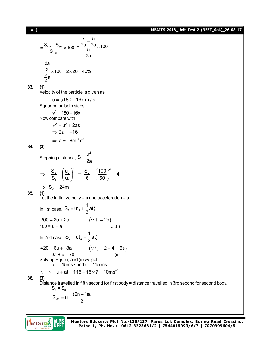[ **8** ] **MEAITS 2018\_Unit Test-2 (NEET\_Sol.)\_26-08-17**

$$
\frac{S_{4m} - S_{3rd}}{S_{3rd}} \times 100 = \frac{\frac{7}{2a} - \frac{5}{2a}}{2a} \times 100
$$
  
\n
$$
\frac{2a}{2a}
$$
  
\n
$$
= \frac{2}{\frac{6}{5}} \times 100 = 2 \times 20 = 40\%
$$
  
\n
$$
\frac{2a}{2a}
$$
  
\n33. (1)  
\nVelocity of the particle is given as  
\n $u = \sqrt{180 - 16x}$  m/s  
\nSquaring on both sides  
\n $v^2 = u^2 + 2as$   
\n $\Rightarrow 2a = -16$   
\nNow compare with  
\n $v^2 = u^2 + 2as$   
\n $\Rightarrow 2a = -16$   
\n34. (3)  
\nStopping distance,  $S = \frac{u^2}{2a}$   
\n $\Rightarrow \frac{S_2}{S_1} = \left(\frac{u_2}{u_1}\right)^2 \Rightarrow \frac{S_2}{6} = \left(\frac{100}{50}\right)^2 = 4$   
\n $\Rightarrow S_2 = 24m$   
\n35. (1)  
\nLet the initial velocity = u and acceleration = a  
\nIn 1st case,  $S_1 = ut_1 + \frac{1}{2}at_1^2$   
\n $200 = 2u + 2a$  (∴ t<sub>1</sub> = 2s)  
\n100 = u + a  
\n100 = u + a  
\n $100 = u + a$  (∴ t<sub>2</sub> = 2 + 4 = 6s)  
\nSolving Eqs. (i) and (ii) we get  
\n $a = -15ms^{-2}$  and u = 115 ms<sup>-1</sup>  
\n∴ v = u + at = 115 - 15 x7 = 10ms<sup>-1</sup>  
\n36. (3)  
\nDistance 3s = S<sub>3</sub>  
\n $S_3 = u + \frac{(2n - 1)a}{3}$ 

 $S_{n^{th}} = u + \frac{(2n-1)a}{2}$ 2

![](_page_7_Picture_3.jpeg)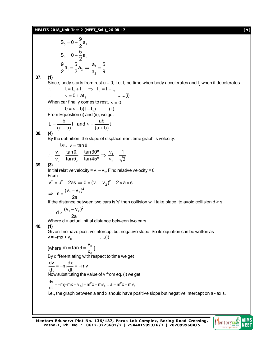## **MEAITS 2018\_Unit Test-2 (NEET\_Sol.)\_26-08-17** [ **9** ]

 $5 - 9 - 24$  $S_5 = 0 + \frac{9}{6}a_1$ 2  $= 0 + \frac{1}{2}$  $3 - 4 - 2$  $S_3 = 0 + \frac{5}{6}a_2$ 2  $= 0 + \frac{1}{2}$  $a_1 = \frac{3}{2}a_2 \Rightarrow \frac{a_1}{2}$ 2  $\frac{9}{6}a_1 = \frac{5}{6}a_2 \Rightarrow \frac{a_1}{6} = \frac{5}{6}$  $2^{-1}$   $2^{-2}$  a, 9  $=\frac{8}{6}a_2 \Rightarrow \frac{a_1}{a_2}=\frac{1}{2}$ **37. (1)** Since, body starts from rest u = 0, Let  $t_1$  be time when body accelerates and  $t_2$  when it decelerates.  $t = t_1 + t_2 \Rightarrow t_2 = t - t_1$  $\therefore$   $v = 0 + at_1$  .......(i) When car finally comes to rest,  $v = 0$  $0 = v - b(t - t_1)$  .......(ii) From Equestion (i) and (ii), we get  $t_1 = \frac{b}{(a+b)}t$  and  $v = \frac{ab}{(a+b)}t$  $(a + b)$   $(a + b)$  $=\frac{b}{1}$  and  $v= (+b)$   $(a + b)$ **38. (4)** By the definition, the slope of displacement time graph is velocity. i.e.,  $v = \tan \theta$  $1 - \frac{\text{unit}}{1}$ 2  $\frac{10110}{2}$ tan $\uptheta_{\scriptscriptstyle{1}}$  tan $30^{\circ}$ tan $\theta_2$  tan45°  $\therefore \frac{v_1}{v_1} = \frac{\tan \theta_1}{\tan \theta_1} = \frac{1}{2}$  $v_2$  tan $\theta_2$ 1 2 1 3  $\Rightarrow \frac{V_1}{V_1} = \mathsf{v}$ **39. (3)** Initial relative velocity =  $v_1 - v_2$ , Find relative velocity = 0 From  $v^2 = u^2 - 2as \Rightarrow 0 = (v_1 - v_2)^2 - 2 \times a \times s$  $s = \frac{(v_1 - v_2)^2}{g}$ 2a  $\Rightarrow$   $s = \frac{(v_1 - v_2)^2}{2}$ If the distance between two cars is 's' then collision will take place. to avoid collision  $d > s$  $d > \frac{(v_1 - v_2)^2}{2}$ 2a  $\therefore$  d >  $\frac{(v_1 - v_2)^2}{2}$ Where d = actual initial distance between two cars. **40. (1)** Given line have positive intercept but negative slope. So its equation can be written as  $v = -mx + v_0$ ....(i) [where  $m = \tan \theta = \frac{v_0}{v_0}$ 0  $m = \tan \theta = \frac{v}{v}$  $=$  tan  $\theta = \frac{v_0}{x_0}$  ] By differentiating with respect to time we get  $\frac{dv}{dt} = -m\frac{dx}{dt} = -mv$ dt dt  $=-m\frac{3\pi}{4}=-n$ Now substituting the value of v from eq. (i) we get  $\frac{dv}{dt} = -m[-mx + v_0] = m^2x - mv_0$  ∴ a =  $m^2x - mv_0$ i.e., the graph between a and x should have positive slope but negative intercept on a - axis.

![](_page_8_Picture_3.jpeg)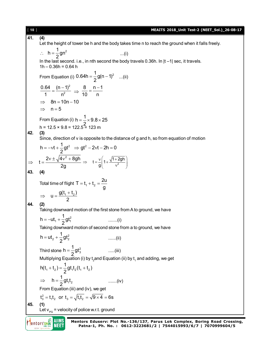[ **10** ] **MEAITS 2018\_Unit Test-2 (NEET\_Sol.)\_26-08-17 41. (4)** Let the height of tower be h and the body takes time n to reach the ground when it falls freely.  $h = \frac{1}{2}gn^2$ :.  $h = \frac{1}{2}gn^2$  ...(i) In the last second. i.e., in nth second the body travels 0.36h. In |t –1| sec, it travels.  $1h - 0.36h = 0.64h$ From Equation (i)  $0.64h = \frac{1}{2}g(n-1)^2$  $=\frac{1}{2}$ g(n – 1)<sup>2</sup> ...(ii) 2  $0.64$  (n  $-1)$  $=\frac{(n-1)^2}{n^2} \Rightarrow \frac{8}{10} = \frac{n-1}{n}$  $=\frac{n-1}{n}$ 2 1 n 10 n  $\implies$  8n = 10n - 10  $\Rightarrow$  n=5 From Equation (i)  $h = \frac{1}{2} \times 9.8 \times 25$  $=\frac{1}{2} \times 9.8 \times 2$ 2 h = 12.5 × 9.8 = 122.5 = 123 m **42. (3)** Since, direction of v is opposite to the distance of g and h, so from equation of motion  $h = -vt + \frac{1}{2}gt^2 \Rightarrow gt^2 - 2vt - 2h = 0$  $=-vt+\frac{1}{2}gt^2 \Rightarrow gt^2-2vt-2h=0$ 2  $t = \frac{2v \pm \sqrt{4v^2 + 8gh}}{2}$  $\Rightarrow t = \frac{2v \pm \sqrt{4v^2 + 8gh}}{2g} \Rightarrow t = \frac{v}{g} \left(1 + \frac{\sqrt{1 + 2gh}}{v^2}\right)$  $\Rightarrow$   $t = \frac{v}{g} \left( 1 + \frac{\sqrt{1 + 2gh}}{v^2} \right)$ 2g **43. (4)** Total time of flight T =  $t_1 + t_2 = \frac{2u}{g}$  $= t_1 + t_2 =$ g  $\Rightarrow u = \frac{g(t_1 + t_2)}{2}$  $u = \frac{g(t_1 + t_2)}{2}$ 2 **44. (2)** Taking downward motion of the first stone from A to ground, we have h =  $-$ ut<sub>1</sub> +  $\frac{1}{6}$ gt  $_1 + \frac{1}{2}gt_1^2$  $= -ut_1 + \frac{1}{2}gt_1^2$  .......(i) Taking downward motion of second stone from a to ground, we have  $h = ut_2 + \frac{1}{2}gt$  $_2 + \frac{1}{2}gt_2^2$  $=$  ut<sub>2</sub> +  $\frac{1}{2}$ gt<sup>2</sup><sub>2</sub> ......(ii)  $h = \frac{1}{2}gt$  .....(iii) Third stone  $h = \frac{1}{2}gt_3^2$ 2 Multiplying Equation (i) by  $\mathfrak{t}_2$ and Equation (ii) by  $\mathfrak{t}_1$  and adding, we get  $h(t_1 + t_2) = \frac{1}{2}gt_1t_2(t_1 + t_2)$ + t<sub>2</sub>) =  $-gt_1t_2(t_1 + t_2)$  $1 + 27 = 2$  9  $121$ 2  $h = \frac{1}{2}gt_1t_2$  $\Rightarrow$   $h = \frac{1}{2}gt_1t_2$  .......(iv)  $1^{\mathsf{L}}2$ From Equation (iii) and (iv), we get  $t_3^2 = t_1 t_2$  or  $t_3 = \sqrt{t_1 t_2} = \sqrt{9 \times 4} = 6s$ **45. (1)** Let  $v_{pG}$  = velocity of police w.r.t. ground Mentors DNE **AIIMS**<br>NEET **Mentors Eduserv: Plot No.-136/137, Parus Lok Complex, Boring Road Crossing, Patna-1, Ph. No. : 0612-3223681/2 | 7544015993/6/7 | 7070999604/5**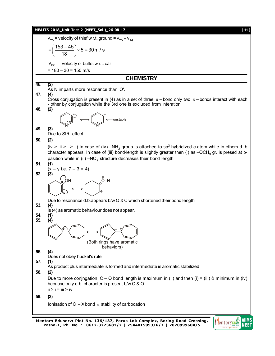![](_page_10_Figure_0.jpeg)

![](_page_10_Picture_2.jpeg)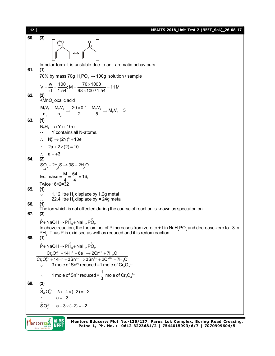[ **12** ] **MEAITS 2018\_Unit Test-2 (NEET\_Sol.)\_26-08-17 60. (3)** O O + – In polar form it is unstable due to anti aromatic behaviours **61. (1)** 70% by mass 70g  $H_3PO_4 \rightarrow 100g$  solution / sample  $V = \frac{w}{d} = \frac{100}{1.54}$ ; M =  $\frac{70 \times 1000}{98 \times 100 / 1.54}$  = 11 M  $=\frac{w}{d}=\frac{100}{1.54}$ ; M =  $\frac{70\times1000}{98\times100/1.54}$  = 1 **62. (2)**  $\mathsf{KMnO}_4$ oxalic acid  $\frac{1}{1}$   $\frac{1}{1}$  =  $\frac{m_2 v_2}{n_2}$   $\Rightarrow$   $\frac{20 \times 0.1}{2}$  =  $\frac{m_2 v_2}{5}$   $\Rightarrow$   $M_2 V_2$  $\frac{M_1 V_1}{n_1} = \frac{M_2 V_2}{n_2} \Rightarrow \frac{20 \times 0.1}{2} = \frac{M_2 V_2}{5} \Rightarrow M_2 V_2 = 5$  $=\frac{M_2V_2}{\Sigma}\Rightarrow \frac{20\times 0.1}{\Sigma}=\frac{M_2V_2}{\Sigma}\Rightarrow M_2V_2=8$ **63. (1)**  $N_2H_4 \rightarrow (Y) + 10e$  Y contains all N-atoms.  $\therefore$  N<sub>2</sub><sup>2</sup>  $\rightarrow$  (2N)<sup>a</sup> + 10e  $\therefore$  2a + 2 × (2) = 10  $\therefore$  a = +3<br>(2) **64. (2)**  $SO_2 + 2H_2S \rightarrow 3S + 2H_2O$ Eq. mass  $=$   $\frac{M}{4}$  $=$   $\frac{64}{4}$  $=$  16; Twice 16×2=32 **65. (1)**  $\therefore$  1.12 litre H<sub>2</sub> displace by 1.2g metal 22.4 litre  $H_2$  displace by = 24g metal **66. (1)** The ion which is not affected during the course of reaction is known as spectator ion. **67. (3)**  $\overset{\circ}{\mathsf{P}}$ + NaOH  $\rightarrow$   $\overset{\neg^3}{\mathsf{PH}}_3^+$  NaH $_2$  PO $_2^+$ In above reaction, the the ox. no. of P increases from zero to +1 in NaH<sub>2</sub>PO<sub>2</sub> and decrease zero to -3 in  $PH_3$ . Thus P is oxidised as well as reduced and it is redox reaction. **68. (1)**  $\overset{\circ}{\mathsf{P}}$ + NaOH  $\rightarrow$   $\overset{\neg^3}{\mathsf{PH}}_3^+$  NaH<sub>2</sub>  $\overset{\circ}{\mathsf{PO}}_2^+$  $\frac{Cr_2O_7^{2-} + 14H^+ + 6e^- \rightarrow 2Cr^{3+} + 7H_2O}{C_2^{2-} + 14H^+ + 3Sn^{2+} \rightarrow 3Sn^{4+} + 2Cr^{3+} + 7H_2^{+}$  $Cr_2O_7^{2-} + 14H^+ + 6e^- \rightarrow 2Cr^{3+} + 7H_2O$  $Cr_2O_7^{2-}$  + 14H<sup>+</sup> + 3Sn<sup>2+</sup>  $\rightarrow$  3Sn<sup>4+</sup> + 2Cr<sup>3+</sup> + 7H<sub>2</sub>O  $-111H^+ + 60^- \times 2Cr^{3+}$  $-111H+12Cn^{2+}$   $\sqrt{2Cn^{4+}+2Cr^{3+}}$  $+14H^{+}+6e^{-} \rightarrow 2Cr^{3+}+7$  $+14H^{+}+3Sn^{2+} \rightarrow 3Sn^{4+}+2Cr^{3+}+7$  $\therefore$  3 mole of Sn<sup>2+</sup> reduced =1 mole of Cr<sub>2</sub>O<sub>7</sub><sup>2</sup>  $\therefore$  1 mole of Sn<sup>2+</sup> reduced =  $\frac{1}{3}$  mole of Cr<sub>2</sub>O<sub>4</sub><sup>2</sup> **69. (2)**  $\mathring{S}_2 O_4^{2-}$ : 2a+4×(-2) = -2  $\therefore$   $a = +3$  $\stackrel{a}{\text{SO}}_{3}^{2-}$ :  $a+3\times(-2)=-2$ 

Mentors DNE **AIIMS NEET**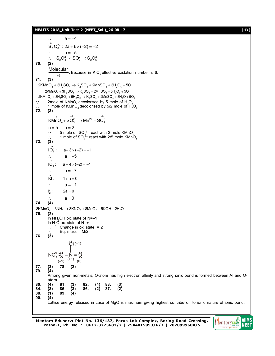### **MEAITS 2018\_Unit Test-2 (NEET\_Sol.)\_26-08-17** [ **13** ]

 $\therefore$   $a = +4$ 

 $S_2^a O_6^{2-}$ : 2a + 6 × (-2) = -2  $\therefore$   $a = +5$  $\therefore$  S<sub>2</sub>O<sub>4</sub><sup>2</sup> < SO<sub>3</sub><sup>2</sup> < S<sub>2</sub>O<sub>6</sub><sup>2</sup> **70. (2)** Molecular , Because in  $KIO<sub>3</sub>$  effective oxidation number is 6. 6 **71. (3)**  $2KMnO_4 + 3H_2SO_4 \rightarrow K_2SO_4 + 2MnSO_4 + 3H_2O_5 + 5O$  $2$ KMnO $_4$  + 3H<sub>2</sub>SO<sub>4</sub>  $\rightarrow$  K<sub>2</sub>SO<sub>4</sub> + 2MnSO<sub>4</sub> + 3H<sub>2</sub>O<sub>5</sub> + 5O  $2$ KMnO<sub>4</sub> + 3H<sub>2</sub>SO<sub>4</sub> + 5H<sub>2</sub>O<sub>2</sub>  $\rightarrow$  K<sub>2</sub>SO<sub>4</sub> + 2MnSO<sub>4</sub> + 8H<sub>2</sub>O + 5O<sub>2</sub>  $\therefore$  2mole of KMnO<sub>4</sub> decolorised by 5 mole of H<sub>2</sub>O<sub>2</sub>  $\therefore$  1 mole of KMnO<sub>4</sub> decolorised by 5/2 mole of H<sub>2</sub>O<sub>2</sub> **72. (3)**  $KM^{\stackrel{+7}{\text{n}}\text{O}}_4 + SO_3^{^{+4} \rightarrow} Mn^{2+} + SO_4^{^{+6} \rightarrow}$  $n = 5$   $n = 2$  $\therefore$  5 mole of SO<sub>3</sub><sup>2</sup> react with 2 mole KMnO<sub>4</sub>  $\therefore$  1 mole of SO<sub>3</sub><sup>2</sup> react with 2/5 mole KMnO<sub>4</sub>. **73. (3)** a 3  $IO_3^-: a+3\times(-2) = -1$  $\therefore$  a = +5 a  $10^{-}$ :  $IO<sub>4</sub> : a + 4 \times (-2) = -1$  $\therefore$   $a = +7$  $\mathsf{K}$ :  $1 + a = 0$  $\therefore$   $a = -1$ a 2  $2a = 0$  $\therefore$  a = 0<br>(4) **74. (4)**  $8KMnO<sub>4</sub> + 3NH<sub>3</sub> \rightarrow 3KNO<sub>3</sub> + 8MnO<sub>2</sub> + 5KOH + 2H<sub>2</sub>O$ **75. (2)** In NH2OH ox. state of N=–1 In  $N_2O$  ox. state of N=+1  $\therefore$  Change in ox. state = 2 Eq. mass =  $M/2$ **76. (3)**  $NO<sup>°</sup>$  : $O - N = O$  $: O: (-1)$  $(-1)$   $(+1)$   $(0)$ **77. (3) 78. (2) 79. (4)** Among given non-metals, O-atom has high electron affinity and strong ionic bond is formed between AI and Oatom. **80. (4) 81. (3) 82. (4) 83. (3) 84. (3) 85. (3) 86. (2) 87. (2) 88. (1) 89. (4) 90. (4)** Lattice energy released in case of MgO is maximum giving highest contribution to ionic nature of ionic bond.

![](_page_12_Picture_4.jpeg)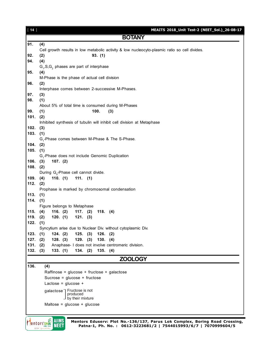| $[14]$     | MEAITS 2018_Unit Test-2 (NEET_Sol.)_26-08-17                                                  |
|------------|-----------------------------------------------------------------------------------------------|
|            | <b>BOTANY</b>                                                                                 |
| 91.        | (4)                                                                                           |
|            | Cell growth results in low metabolic activity & low nucleocyto-plasmic ratio so cell divides. |
| 92.        | 93. (1)<br>(2)                                                                                |
| 94.        | (4)                                                                                           |
|            | $G_1$ , S, $G_2$ phases are part of interphase                                                |
| 95.        | (4)                                                                                           |
|            | M-Phase is the phase of actual cell division                                                  |
| 96.        | (2)                                                                                           |
|            | Interphase comes between 2-successive M-Phases.                                               |
| 97.        | (3)                                                                                           |
| 98.        | (1)                                                                                           |
|            | About 5% of total time is consumed during M-Phases                                            |
| 99.        | 100.<br>(1)<br>(3)                                                                            |
| 101.       | (2)                                                                                           |
|            | Inhibited synthesis of tubulin will inhibit cell division at Metaphase                        |
| 102.       | (3)                                                                                           |
| 103.       | (1)<br>$G1$ -Phase comes between M-Phase & The S-Phase.                                       |
| $104.$ (2) |                                                                                               |
| 105.       | (1)                                                                                           |
|            | G <sub>1</sub> -Phase does not include Genomic Duplication                                    |
| $106.$ (3) | 107. (2)                                                                                      |
| $108.$ (2) |                                                                                               |
|            | During G <sub>o</sub> -Phase cell cannot divide.                                              |
| 109.       | (4)<br>110. $(1)$<br>$111.$ (1)                                                               |
| 112.       | (2)                                                                                           |
|            | Prophase is marked by chromosomal condensation                                                |
| 113.       | (1)                                                                                           |
| 114.       | (1)                                                                                           |
|            | Figure belongs to Metaphase                                                                   |
| 115.       | 116. $(2)$<br>$117.$ (2)<br>118. (4)<br>(4)                                                   |
| 119.       | (2)<br>120. (1)<br>$121.$ (3)                                                                 |
| 122.       | (1)                                                                                           |
|            | Syncytium arise due to Nuclear Div. without cytoplasmic Div.                                  |
| 123.       | (1)<br>124. (2)<br>125. (3)<br>126. (2)                                                       |
| 127.       | 128. (3)<br>$129.$ (3)<br>130. (4)<br>(2)                                                     |
| 131.       | Anaphase- I does not involve centromeric division.<br>(2)                                     |
| 132.       | 134. (2)<br>135. (4)<br>(3)<br>133. (1)                                                       |
|            | <b>ZOOLOGY</b>                                                                                |
| 136.       | (4)                                                                                           |
|            | Raffinose = glucose + fructose + galactose                                                    |
|            | Sucrose = $glucose + fructose$                                                                |
|            | Lactose = $glucose +$                                                                         |
|            | galactose   Fructose is not                                                                   |
|            | produced                                                                                      |
|            | $\Box$ by their mixture                                                                       |
|            | Maltose = $glucose + glucose$                                                                 |
|            |                                                                                               |
|            | $\geq$ Alims<br>Mentors Edusery: Plot No -136/137 Parus Lok Complex, Boring Road Crossing     |

**CONTRACT STREET**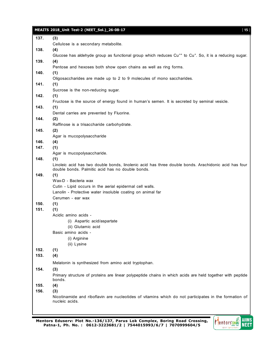|      | MEAITS 2018_Unit Test-2 (NEET_Sol.)_26-08-17<br>[15]                                                                                                     |
|------|----------------------------------------------------------------------------------------------------------------------------------------------------------|
| 137. | (3)                                                                                                                                                      |
|      | Cellulose is a secondary metabolite.                                                                                                                     |
| 138. | (4)                                                                                                                                                      |
|      | Glucose has aldehyde group as functional group which reduces Cu <sup>++</sup> to Cu <sup>+</sup> . So, it is a reducing sugar.                           |
| 139. | (4)                                                                                                                                                      |
|      | Pentose and hexoses both show open chains as well as ring forms.                                                                                         |
| 140. | (1)                                                                                                                                                      |
|      | Oligosaccharides are made up to 2 to 9 molecules of mono saccharides.                                                                                    |
| 141. | (1)                                                                                                                                                      |
|      | Sucrose is the non-reducing sugar.                                                                                                                       |
| 142. | (1)                                                                                                                                                      |
|      | Fructose is the source of energy found in human's semen. It is secreted by seminal vesicle.                                                              |
| 143. | (1)                                                                                                                                                      |
|      | Dental carries are prevented by Fluorine.                                                                                                                |
| 144. | (2)                                                                                                                                                      |
|      | Raffinose is a trisaccharide carbohydrate.                                                                                                               |
| 145. | (2)                                                                                                                                                      |
|      | Agar is mucopolysaccharide                                                                                                                               |
| 146. | (4)                                                                                                                                                      |
| 147. | (1)                                                                                                                                                      |
|      | Agar is mucopolysaccharide.                                                                                                                              |
| 148. | (1)                                                                                                                                                      |
|      | Linoleic acid has two double bonds, linolenic acid has three double bonds. Arachidonic acid has four<br>double bonds. Palmitic acid has no double bonds. |
| 149. | (1)                                                                                                                                                      |
|      | Wax-D - Bacteria wax                                                                                                                                     |
|      | Cutin - Lipid occurs in the aerial epidermal cell walls.                                                                                                 |
|      | Lanolin - Protective water insoluble coating on animal far                                                                                               |
|      | Cerumen - ear wax                                                                                                                                        |
| 150. | (1)                                                                                                                                                      |
| 151. | (1)                                                                                                                                                      |
|      | Acidic amino acids -                                                                                                                                     |
|      | (i) Aspartic acid/aspartate                                                                                                                              |
|      | (ii) Glutamic acid                                                                                                                                       |
|      | Basic amino acids -                                                                                                                                      |
|      | (i) Arginine                                                                                                                                             |
|      | (ii) Lysine                                                                                                                                              |
| 152. | (1)                                                                                                                                                      |
| 153. | (4)                                                                                                                                                      |
|      |                                                                                                                                                          |
|      | Melatonin is synthesized from amino acid tryptophan.                                                                                                     |
| 154. | (3)                                                                                                                                                      |
|      | Primary structure of proteins are linear polypeptide chains in which acids are held together with peptide<br>bonds.                                      |
| 155. | (4)                                                                                                                                                      |
| 156. | (3)                                                                                                                                                      |
|      | Nicotinamide and riboflavin are nucleotides of vitamins which do not participates in the formation of<br>nucleic acids.                                  |
|      |                                                                                                                                                          |

![](_page_14_Picture_2.jpeg)